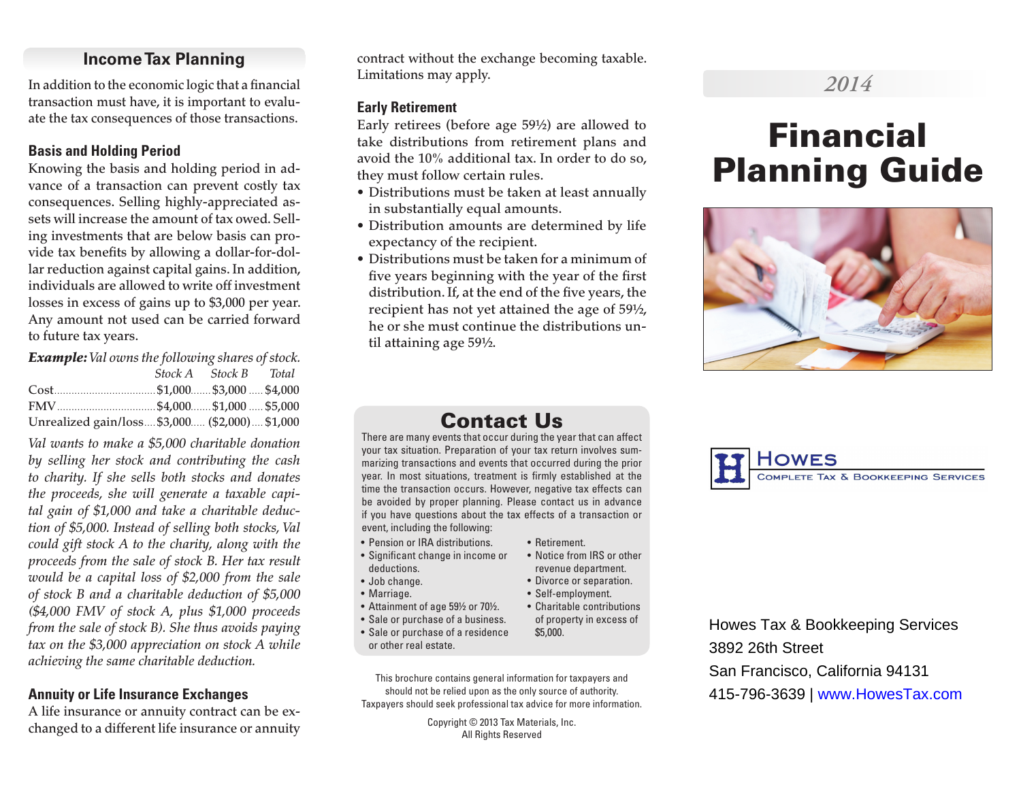## **Income Tax Planning**

In addition to the economic logic that a financial transaction must have, it is important to evaluate the tax consequences of those transactions.

## **Basis and Holding Period**

Knowing the basis and holding period in advance of a transaction can prevent costly tax consequences. Selling highly-appreciated assets will increase the amount of tax owed. Selling investments that are below basis can provide tax benefits by allowing a dollar-for-dollar reduction against capital gains. In addition, individuals are allowed to write off investment losses in excess of gains up to \$3,000 per year. Any amount not used can be carried forward to future tax years.

*Example: Val owns the following shares of stock. Stock A Stock B Total* Cost................................... \$1,000....... \$3,000 ..... \$4,000 FMV.................................. \$4,000....... \$1,000 ..... \$5,000 Unrealized gain/loss.... \$3,000..... (\$2,000).... \$1,000

*Val wants to make a \$5,000 charitable donation by selling her stock and contributing the cash to charity. If she sells both stocks and donates the proceeds, she will generate a taxable capital gain of \$1,000 and take a charitable deduction of \$5,000. Instead of selling both stocks, Val could gift stock A to the charity, along with the proceeds from the sale of stock B. Her tax result would be a capital loss of \$2,000 from the sale of stock B and a charitable deduction of \$5,000 (\$4,000 FMV of stock A, plus \$1,000 proceeds from the sale of stock B). She thus avoids paying tax on the \$3,000 appreciation on stock A while achieving the same charitable deduction.*

## **Annuity or Life Insurance Exchanges**

A life insurance or annuity contract can be exchanged to a different life insurance or annuity contract without the exchange becoming taxable. Limitations may apply.

#### **Early Retirement**

Early retirees (before age 59½) are allowed to take distributions from retirement plans and avoid the 10% additional tax. In order to do so, they must follow certain rules.

- Distributions must be taken at least annually in substantially equal amounts.
- Distribution amounts are determined by life expectancy of the recipient.
- Distributions must be taken for a minimum of five years beginning with the year of the first distribution. If, at the end of the five years, the recipient has not yet attained the age of 59½, he or she must continue the distributions until attaining age 59½.

## *2014*

# Financial Planning Guide



## Contact Us

There are many events that occur during the year that can affect your tax situation. Preparation of your tax return involves summarizing transactions and events that occurred during the prior year. In most situations, treatment is firmly established at the time the transaction occurs. However, negative tax effects can be avoided by proper planning. Please contact us in advance if you have questions about the tax effects of a transaction or event, including the following:

• Retirement.

\$5,000.

• Notice from IRS or other revenue department. • Divorce or separation. • Self-employment.

- Pension or IRA distributions.
- Significant change in income or deductions.
- Job change.
- Marriage.
- Attainment of age 59½ or 70½. • Charitable contributions
- Sale or purchase of a business. of property in excess of
- Sale or purchase of a residence or other real estate.

This brochure contains general information for taxpayers and should not be relied upon as the only source of authority. Taxpayers should seek professional tax advice for more information.

> Copyright © 2013 Tax Materials, Inc. All Rights Reserved



Howes Tax & Bookkeeping Services 3892 26th Street San Francisco, California 94131 415-796-3639 | www.HowesTax.com